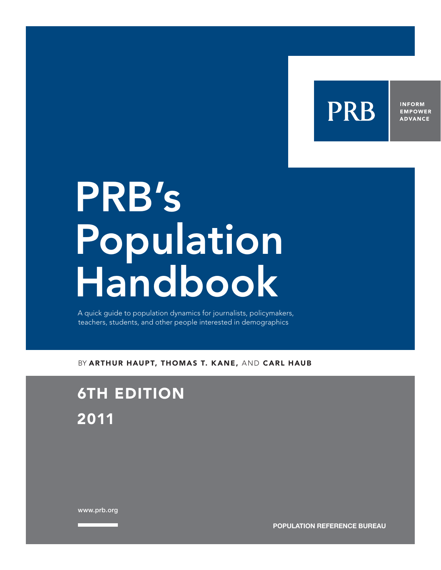

**INFORM EMPOWER ADVANCE** 

# PRB's **Population** Handbook

A quick guide to population dynamics for journalists, policymakers, teachers, students, and other people interested in demographics

BY ARTHUR HAUPT, THOMAS T. KANE, AND CARL HAUB

# 6TH EDITION 2011

www.prb.org

**POPULATION REFERENCE BUREAU**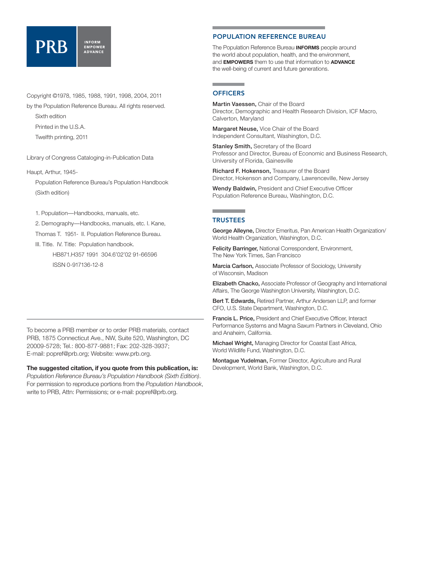#### **INFORM PRR** EMPOWER

Copyright ©1978, 1985, 1988, 1991, 1998, 2004, 2011

by the Population Reference Bureau. All rights reserved. Sixth edition

Printed in the U.S.A.

Twelfth printing, 2011

Library of Congress Cataloging-in-Publication Data

Haupt, Arthur, 1945-

Population Reference Bureau's Population Handbook (Sixth edition)

1. Population—Handbooks, manuals, etc.

2. Demography—Handbooks, manuals, etc. I. Kane,

Thomas T. 1951- II. Population Reference Bureau.

 III. Title. IV. Title: Population handbook. HB871.H357 1991 304.6'02'02 91-66596

ISSN 0-917136-12-8

#### To become a PRB member or to order PRB materials, contact PRB, 1875 Connecticut Ave., NW, Suite 520, Washington, DC 20009-5728; Tel.: 800-877-9881; Fax: 202-328-3937; E-mail: popref@prb.org; Website: www.prb.org.

**The suggested citation, if you quote from this publication, is:**  *Population Reference Bureau's Population Handbook (Sixth Edition)*. For permission to reproduce portions from the *Population Handbook*, write to PRB, Attn: Permissions; or e-mail: popref@prb.org.

#### POPULATION REFERENCE BUREAU

The Population Reference Bureau **INFORMS** people around the world about population, health, and the environment, and **EMPOWERS** them to use that information to **ADVANCE** the well-being of current and future generations.

#### and the company of the company **OFFICERS**

Martin Vaessen, Chair of the Board Director, Demographic and Health Research Division, ICF Macro, Calverton, Maryland

Margaret Neuse, Vice Chair of the Board Independent Consultant, Washington, D.C.

**Stanley Smith, Secretary of the Board** Professor and Director, Bureau of Economic and Business Research, University of Florida, Gainesville

Richard F. Hokenson, Treasurer of the Board Director, Hokenson and Company, Lawrenceville, New Jersey

Wendy Baldwin, President and Chief Executive Officer Population Reference Bureau, Washington, D.C.

#### **TRUSTEES**

George Alleyne, Director Emeritus, Pan American Health Organization/ World Health Organization, Washington, D.C.

Felicity Barringer, National Correspondent, Environment, The New York Times, San Francisco

Marcia Carlson, Associate Professor of Sociology, University of Wisconsin, Madison

Elizabeth Chacko, Associate Professor of Geography and International Affairs, The George Washington University, Washington, D.C.

Bert T. Edwards, Retired Partner, Arthur Andersen LLP, and former CFO, U.S. State Department, Washington, D.C.

Francis L. Price, President and Chief Executive Officer, Interact Performance Systems and Magna Saxum Partners in Cleveland, Ohio and Anaheim, California.

**Michael Wright, Managing Director for Coastal East Africa,** World Wildlife Fund, Washington, D.C.

Montague Yudelman, Former Director, Agriculture and Rural Development, World Bank, Washington, D.C.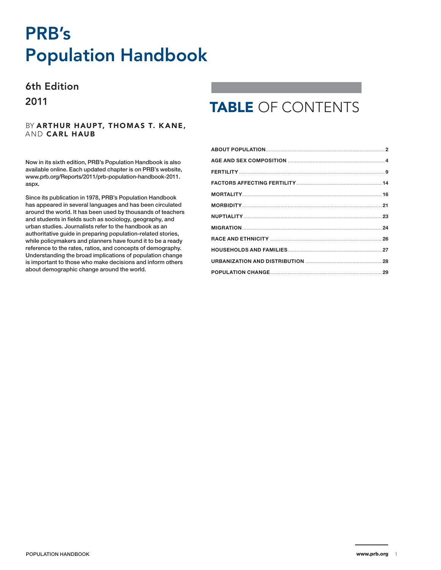# PRB's Population Handbook

### 6th Edition 2011

#### BY ARTHUR HAUPT, THOMAS T. KANE, AND CARL HAUB

Now in its sixth edition, PRB's Population Handbook is also available online. Each updated chapter is on PRB's website, available online. Each updated chapter is on PRB's website,<br>[www.prb.org/Reports/2011/prb-population-handbook-2011.](http://www.prb.org/Reports/2011/prb-population-handbook-2011.aspx) Since its publication in 1978, PRB's *Population Handbook* [aspx.](http://www.prb.org/Reports/2011/prb-population-handbook-2011.aspx)

Since its publication in 1978, PRB's Population Handbook ance he passed for the control of the complement in teachers of teachers of teachers of the second has appeared in several languages and has been circulated around the world. It has been used by thousands of teachers around the world it has book assa's generation of teach<br>and students in fields such as sociology, geography, and and statisme in noids stori as secretcy, goography, and<br>urban studies. Journalists refer to the handbook as an arbah staates. Soamansts herer to the nandbook as an<br>authoritative guide in preparing population-related stories, addrefitative galax in proparing population related steries,<br>while policymakers and planners have found it to be a ready mindepolicy mandre and planners have reand it to be a ready<br>reference to the rates, ratios, and concepts of demography. is important to those who make decisions and inform others Understanding the broad implications of population change about demographic change are world. The world. The world. The world. The information of the signal is important to those who make decisions and inform others about demographic change around the world.

# TABLE OF CONTENTS

| <b>NUPTIALITY</b> 23 |  |
|----------------------|--|
|                      |  |
|                      |  |
|                      |  |
|                      |  |
|                      |  |
|                      |  |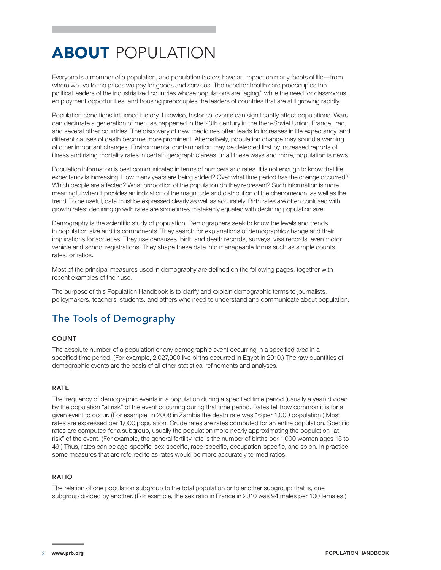# **ABOUT POPULATION**

Everyone is a member of a population, and population factors have an impact on many facets of life—from where we live to the prices we pay for goods and services. The need for health care preoccupies the political leaders of the industrialized countries whose populations are "aging," while the need for classrooms, employment opportunities, and housing preoccupies the leaders of countries that are still growing rapidly.

Population conditions influence history. Likewise, historical events can significantly affect populations. Wars can decimate a generation of men, as happened in the 20th century in the then-Soviet Union, France, Iraq, and several other countries. The discovery of new medicines often leads to increases in life expectancy, and different causes of death become more prominent. Alternatively, population change may sound a warning of other important changes. Environmental contamination may be detected first by increased reports of illness and rising mortality rates in certain geographic areas. In all these ways and more, population is news.

Population information is best communicated in terms of numbers and rates. It is not enough to know that life expectancy is increasing. How many years are being added? Over what time period has the change occurred? Which people are affected? What proportion of the population do they represent? Such information is more meaningful when it provides an indication of the magnitude and distribution of the phenomenon, as well as the trend. To be useful, data must be expressed clearly as well as accurately. Birth rates are often confused with growth rates; declining growth rates are sometimes mistakenly equated with declining population size.

Demography is the scientific study of population. Demographers seek to know the levels and trends in population size and its components. They search for explanations of demographic change and their implications for societies. They use censuses, birth and death records, surveys, visa records, even motor vehicle and school registrations. They shape these data into manageable forms such as simple counts, rates, or ratios.

Most of the principal measures used in demography are defined on the following pages, together with recent examples of their use.

The purpose of this Population Handbook is to clarify and explain demographic terms to journalists, policymakers, teachers, students, and others who need to understand and communicate about population.

### The Tools of Demography

#### **COUNT**

The absolute number of a population or any demographic event occurring in a specified area in a specified time period. (For example, 2,027,000 live births occurred in Egypt in 2010.) The raw quantities of demographic events are the basis of all other statistical refinements and analyses.

#### RATE

The frequency of demographic events in a population during a specified time period (usually a year) divided by the population "at risk" of the event occurring during that time period. Rates tell how common it is for a given event to occur. (For example, in 2008 in Zambia the death rate was 16 per 1,000 population.) Most rates are expressed per 1,000 population. Crude rates are rates computed for an entire population. Specific rates are computed for a subgroup, usually the population more nearly approximating the population "at risk" of the event. (For example, the general fertility rate is the number of births per 1,000 women ages 15 to 49.) Thus, rates can be age-specific, sex-specific, race-specific, occupation-specific, and so on. In practice, some measures that are referred to as rates would be more accurately termed ratios.

#### RATIO

The relation of one population subgroup to the total population or to another subgroup; that is, one subgroup divided by another. (For example, the sex ratio in France in 2010 was 94 males per 100 females.)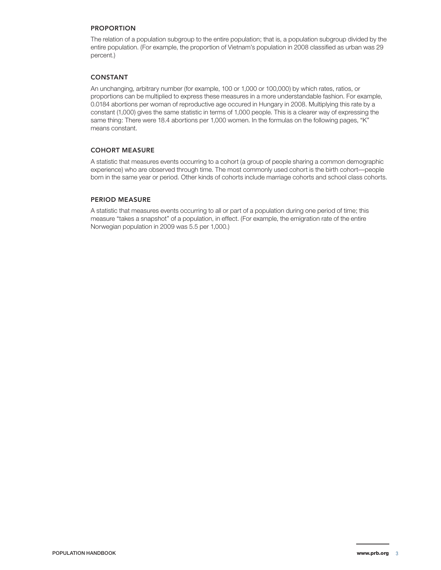#### PROPORTION

The relation of a population subgroup to the entire population; that is, a population subgroup divided by the entire population. (For example, the proportion of Vietnam's population in 2008 classified as urban was 29 percent.)

#### CONSTANT

An unchanging, arbitrary number (for example, 100 or 1,000 or 100,000) by which rates, ratios, or proportions can be multiplied to express these measures in a more understandable fashion. For example, 0.00184 abortions per woman of reproductive age occured in Hungary in 2008. Multiplying this rate by a 0.0184 abortions per woman of reproductive age occured in Hungary in 2008. Multiplying this rate by a constant (1,000) gives the same statistic in terms of 1,000 people. This is a clearer way of expressing the same thing: There were 18.4 abortions per 1,000 women. In the formulas on the following pages, "K" means constant.

#### COHORT MEASURE

A statistic that measures events occurring to a cohort (a group of people sharing a common demographic experience) who are observed through time. The most commonly used cohort is the birth cohort—people born in the same year or period. Other kinds of cohorts include marriage cohorts and school class cohorts.

#### PERIOD MEASURE

A statistic that measures events occurring to all or part of a population during one period of time; this measure "takes a snapshot" of a population, in effect. (For example, the emigration rate of the entire Norwegian population in 2009 was 5.5 per 1,000.)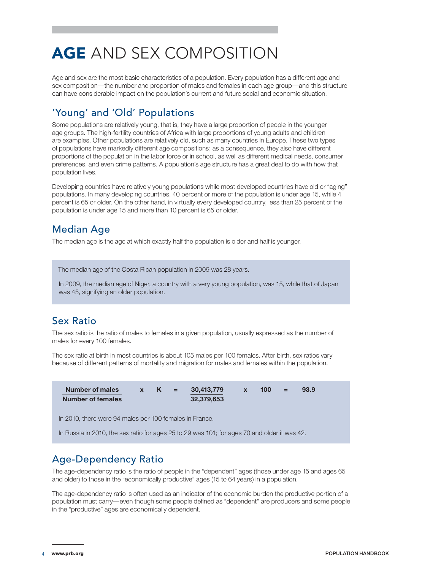# AGE AND SEX COMPOSITION

Age and sex are the most basic characteristics of a population. Every population has a different age and sex composition—the number and proportion of males and females in each age group—and this structure can have considerable impact on the population's current and future social and economic situation.

### 'Young' and 'Old' Populations

Some populations are relatively young, that is, they have a large proportion of people in the younger age groups. The high-fertility countries of Africa with large proportions of young adults and children are examples. Other populations are relatively old, such as many countries in Europe. These two types of populations have markedly different age compositions; as a consequence, they also have different proportions of the population in the labor force or in school, as well as different medical needs, consumer preferences, and even crime patterns. A population's age structure has a great deal to do with how that population lives.

Developing countries have relatively young populations while most developed countries have old or "aging" populations. In many developing countries, 40 percent or more of the population is under age 15, while 4 percent is 65 or older. On the other hand, in virtually every developed country, less than 25 percent of the population is under age 15 and more than 10 percent is 65 or older.

### Median Age

The median age is the age at which exactly half the population is older and half is younger.

The median age of the Costa Rican population in 2009 was 28 years.

In 2009, the median age of Niger, a country with a very young population, was 15, while that of Japan was 45, signifying an older population.

### Sex Ratio

The sex ratio is the ratio of males to females in a given population, usually expressed as the number of males for every 100 females.

The sex ratio at birth in most countries is about 105 males per 100 females. After birth, sex ratios vary because of different patterns of mortality and migration for males and females within the population.

| <b>Number of males</b><br><b>Number of females</b>                                           |  | $x = K =$ |  | 30,413,779<br>32,379,653 | $\mathbf{x}$ | 100 | $=$ | 93.9 |
|----------------------------------------------------------------------------------------------|--|-----------|--|--------------------------|--------------|-----|-----|------|
| In 2010, there were 94 males per 100 females in France.                                      |  |           |  |                          |              |     |     |      |
| In Russia in 2010, the sex ratio for ages 25 to 29 was 101; for ages 70 and older it was 42. |  |           |  |                          |              |     |     |      |

### Age-Dependency Ratio

The age-dependency ratio is the ratio of people in the "dependent" ages (those under age 15 and ages 65 and older) to those in the "economically productive" ages (15 to 64 years) in a population.

The age-dependency ratio is often used as an indicator of the economic burden the productive portion of a population must carry—even though some people defined as "dependent" are producers and some people in the "productive" ages are economically dependent.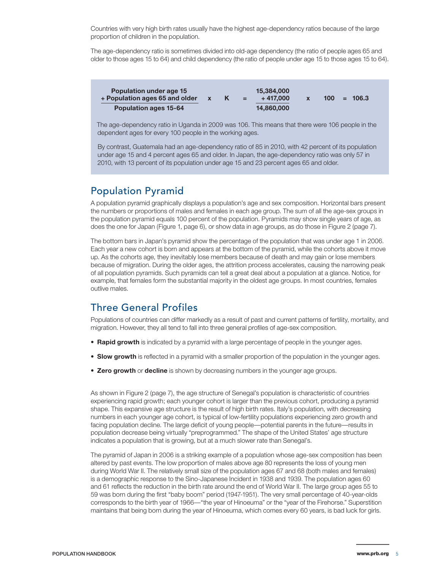Countries with very high birth rates usually have the highest age-dependency ratios because of the large proportion of children in the population.

The age-dependency ratio is sometimes divided into old-age dependency (the ratio of people ages 65 and older to those ages 15 to 64) and child dependency (the ratio of people under age 15 to those ages 15 to 64).

| <b>Population under age 15</b><br>+ Population ages 65 and older |  | $=$ | 15,384,000<br>+ 417.000 | 100 <sub>°</sub> | $= 106.3$ |  |
|------------------------------------------------------------------|--|-----|-------------------------|------------------|-----------|--|
| <b>Population ages 15-64</b>                                     |  |     | 14.860,000              |                  |           |  |

The age-dependency ratio in Uganda in 2009 was 106. This means that there were 106 people in the dependent ages for every 100 people in the working ages.

By contrast, Guatemala had an age-dependency ratio of 85 in 2010, with 42 percent of its population under age 15 and 4 percent ages 65 and older. In Japan, the age-dependency ratio was only 57 in 2010, with 13 percent of its population under age 15 and 23 percent ages 65 and older.

### Population Pyramid

A population pyramid graphically displays a population's age and sex composition. Horizontal bars present the numbers or proportions of males and females in each age group. The sum of all the age-sex groups in the population pyramid equals 100 percent of the population. Pyramids may show single years of age, as does the one for Japan (Figure 1, page 6), or show data in age groups, as do those in Figure 2 (page 7).

The bottom bars in Japan's pyramid show the percentage of the population that was under age 1 in 2006. Each year a new cohort is born and appears at the bottom of the pyramid, while the cohorts above it move up. As the cohorts age, they inevitably lose members because of death and may gain or lose members because of migration. During the older ages, the attrition process accelerates, causing the narrowing peak of all population pyramids. Such pyramids can tell a great deal about a population at a glance. Notice, for example, that females form the substantial majority in the oldest age groups. In most countries, females outlive males.

### Three General Profiles

Populations of countries can differ markedly as a result of past and current patterns of fertility, mortality, and migration. However, they all tend to fall into three general profiles of age-sex composition.

- **• Rapid growth** is indicated by a pyramid with a large percentage of people in the younger ages.
- **• Slow growth** is reflected in a pyramid with a smaller proportion of the population in the younger ages.
- **• Zero growth** or **decline** is shown by decreasing numbers in the younger age groups.

As shown in Figure 2 (page 7), the age structure of Senegal's population is characteristic of countries experiencing rapid growth; each younger cohort is larger than the previous cohort, producing a pyramid shape. This expansive age structure is the result of high birth rates. Italy's population, with decreasing numbers in each younger age cohort, is typical of low-fertility populations experiencing zero growth and facing population decline. The large deficit of young people—potential parents in the future—results in population decrease being virtually "preprogrammed." The shape of the United States' age structure indicates a population that is growing, but at a much slower rate than Senegal's.

The pyramid of Japan in 2006 is a striking example of a population whose age-sex composition has been altered by past events. The low proportion of males above age 80 represents the loss of young men during World War II. The relatively small size of the population ages 67 and 68 (both males and females) is a demographic response to the Sino-Japanese Incident in 1938 and 1939. The population ages 60 and 61 reflects the reduction in the birth rate around the end of World War II. The large group ages 55 to 59 was born during the first "baby boom" period (1947-1951). The very small percentage of 40-year-olds corresponds to the birth year of 1966—"the year of Hinoeuma" or the "year of the Firehorse." Superstition maintains that being born during the year of Hinoeuma, which comes every 60 years, is bad luck for girls.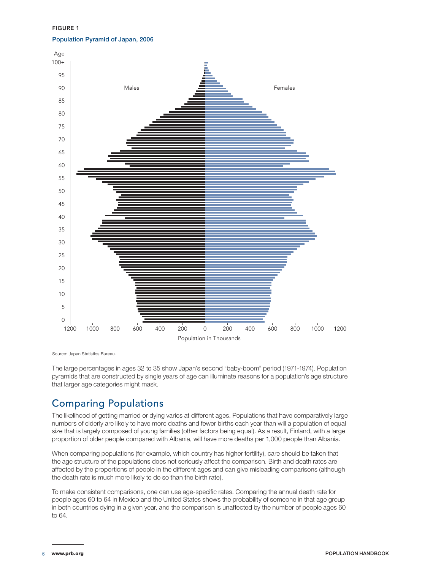FIGURE 1 Population Pyramid of Japan, 2006



Source: Japan Statistics Bureau.

The large percentages in ages 32 to 35 show Japan's second "baby-boom" period (1971-1974). Population pyramids that are constructed by single years of age can illuminate reasons for a population's age structure that larger age categories might mask.

### Comparing Populations

The likelihood of getting married or dying varies at different ages. Populations that have comparatively large numbers of elderly are likely to have more deaths and fewer births each year than will a population of equal size that is largely composed of young families (other factors being equal). As a result, Finland, with a large proportion of older people compared with Albania, will have more deaths per 1,000 people than Albania.

When comparing populations (for example, which country has higher fertility), care should be taken that the age structure of the populations does not seriously affect the comparison. Birth and death rates are affected by the proportions of people in the different ages and can give misleading comparisons (although the death rate is much more likely to do so than the birth rate).

To make consistent comparisons, one can use age-specific rates. Comparing the annual death rate for people ages 60 to 64 in Mexico and the United States shows the probability of someone in that age group in both countries dying in a given year, and the comparison is unaffected by the number of people ages 60 to 64.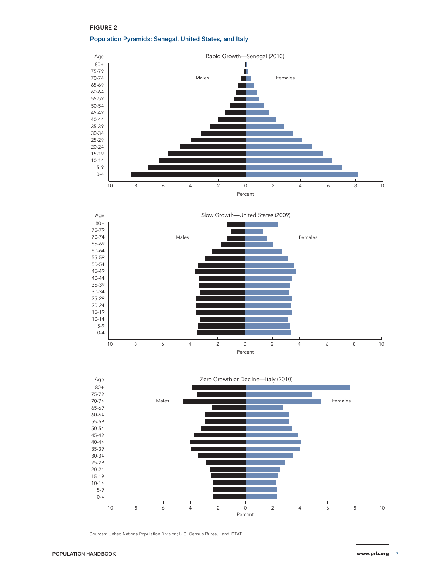#### FIGURE 2

Population Pyramids: Senegal, United States, and Italy







Sources: United Nations Population Division; U.S. Census Bureau; and ISTAT.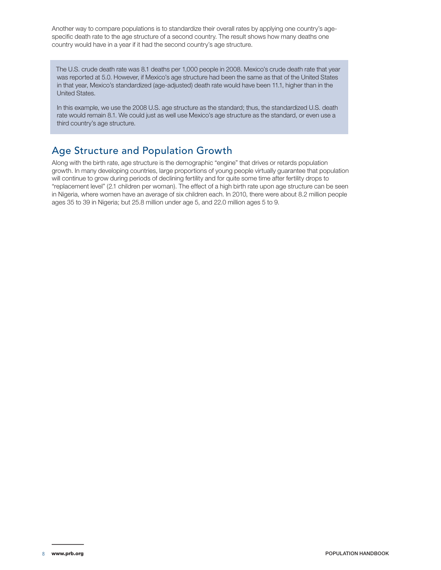Another way to compare populations is to standardize their overall rates by applying one country's agespecific death rate to the age structure of a second country. The result shows how many deaths one country would have in a year if it had the second country's age structure.

The U.S. crude death rate was 8.1 deaths per 1,000 people in 2008. Mexico's crude death rate that year was reported at 5.0. However, if Mexico's age structure had been the same as that of the United States in that year, Mexico's standardized (age-adjusted) death rate would have been 11.1, higher than in the United States.

In this example, we use the 2008 U.S. age structure as the standard; thus, the standardized U.S. death rate would remain 8.1. We could just as well use Mexico's age structure as the standard, or even use a third country's age structure.

### Age Structure and Population Growth

Along with the birth rate, age structure is the demographic "engine" that drives or retards population growth. In many developing countries, large proportions of young people virtually guarantee that population will continue to grow during periods of declining fertility and for quite some time after fertility drops to "replacement level" (2.1 children per woman). The effect of a high birth rate upon age structure can be seen in Nigeria, where women have an average of six children each. In 2010, there were about 8.2 million people ages 35 to 39 in Nigeria; but 25.8 million under age 5, and 22.0 million ages 5 to 9.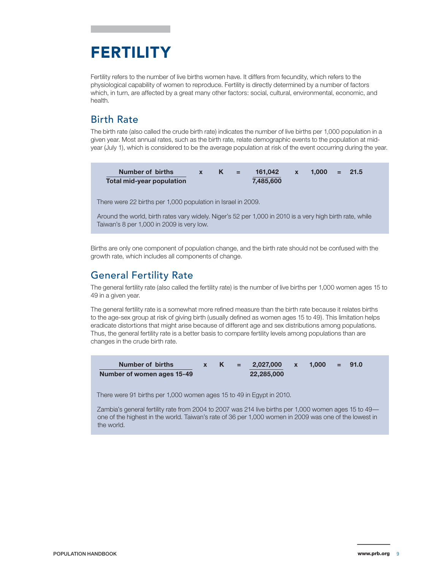# FERTILITY

Fertility refers to the number of live births women have. It differs from fecundity, which refers to the physiological capability of women to reproduce. Fertility is directly determined by a number of factors which, in turn, are affected by a great many other factors: social, cultural, environmental, economic, and health.

### Birth Rate

The birth rate (also called the crude birth rate) indicates the number of live births per 1,000 population in a given year. Most annual rates, such as the birth rate, relate demographic events to the population at midyear (July 1), which is considered to be the average population at risk of the event occurring during the year.



Around the world, birth rates vary widely. Niger's 52 per 1,000 in 2010 is a very high birth rate, while Taiwan's 8 per 1,000 in 2009 is very low.

Births are only one component of population change, and the birth rate should not be confused with the growth rate, which includes all components of change.

### General Fertility Rate

The general fertility rate (also called the fertility rate) is the number of live births per 1,000 women ages 15 to 49 in a given year.

The general fertility rate is a somewhat more refined measure than the birth rate because it relates births to the age-sex group at risk of giving birth (usually defined as women ages 15 to 49). This limitation helps eradicate distortions that might arise because of different age and sex distributions among populations. Thus, the general fertility rate is a better basis to compare fertility levels among populations than are changes in the crude birth rate.



There were 91 births per 1,000 women ages 15 to 49 in Egypt in 2010.

Zambia's general fertility rate from 2004 to 2007 was 214 live births per 1,000 women ages 15 to 49 one of the highest in the world. Taiwan's rate of 36 per 1,000 women in 2009 was one of the lowest in the world.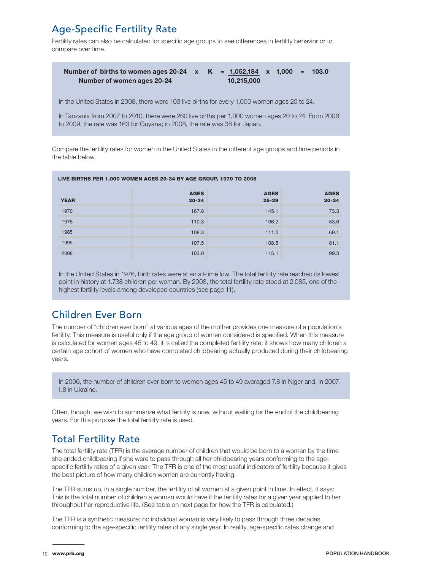### Age-Specific Fertility Rate

Fertility rates can also be calculated for specific age groups to see differences in fertility behavior or to compare over time.

| Number of births to women ages 20-24 $\times$ K = 1,052,184 $\times$ 1,000 = 103.0 |  |            |  |  |
|------------------------------------------------------------------------------------|--|------------|--|--|
| Number of women ages 20-24                                                         |  | 10,215,000 |  |  |

In the United States in 2008, there were 103 live births for every 1,000 women ages 20 to 24.

In Tanzania from 2007 to 2010, there were 260 live births per 1,000 women ages 20 to 24. From 2006 to 2009, the rate was 163 for Guyana; in 2008, the rate was 38 for Japan.

Compare the fertility rates for women in the United States in the different age groups and time periods in the table below.

| LIVE BIRTHS PER 1,000 WOMEN AGES 20-34 BY AGE GROUP, 1970 TO 2008 |                          |                          |                          |  |  |  |  |  |  |
|-------------------------------------------------------------------|--------------------------|--------------------------|--------------------------|--|--|--|--|--|--|
| <b>YEAR</b>                                                       | <b>AGES</b><br>$20 - 24$ | <b>AGES</b><br>$25 - 29$ | <b>AGES</b><br>$30 - 34$ |  |  |  |  |  |  |
| 1970                                                              | 167.8                    | 145.1                    | 73.3                     |  |  |  |  |  |  |
| 1976                                                              | 110.3                    | 106.2                    | 53.6                     |  |  |  |  |  |  |
| 1985                                                              | 108.3                    | 111.0                    | 69.1                     |  |  |  |  |  |  |
| 1995                                                              | 107.5                    | 108.8                    | 81.1                     |  |  |  |  |  |  |
| 2008                                                              | 103.0                    | 115.1                    | 99.3                     |  |  |  |  |  |  |

In the United States in 1976, birth rates were at an all-time low. The total fertility rate reached its lowest point in history at 1.738 children per woman. By 2008, the total fertility rate stood at 2.085, one of the highest fertility levels among developed countries (see page 11).

### Children Ever Born

The number of "children ever born" at various ages of the mother provides one measure of a population's fertility. This measure is useful only if the age group of women considered is specified. When this measure is calculated for women ages 45 to 49, it is called the completed fertility rate; it shows how many children a certain age cohort of women who have completed childbearing actually produced during their childbearing years.

In 2006, the number of children ever born to women ages 45 to 49 averaged 7.8 in Niger and, in 2007, 1.8 in Ukraine.

Often, though, we wish to summarize what fertility is now, without waiting for the end of the childbearing years. For this purpose the total fertility rate is used.

### Total Fertility Rate

The total fertility rate (TFR) is the average number of children that would be born to a woman by the time she ended childbearing if she were to pass through all her childbearing years conforming to the agespecific fertility rates of a given year. The TFR is one of the most useful indicators of fertility because it gives the best picture of how many children women are currently having.

The TFR sums up, in a single number, the fertility of all women at a given point in time. In effect, it says: This is the total number of children a woman would have if the fertility rates for a given year applied to her throughout her reproductive life. (See table on next page for how the TFR is calculated.)

The TFR is a synthetic measure; no individual woman is very likely to pass through three decades conforming to the age-specific fertility rates of any single year. In reality, age-specific rates change and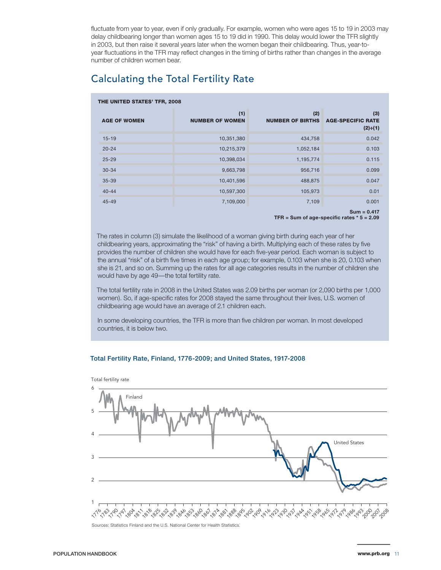fluctuate from year to year, even if only gradually. For example, women who were ages 15 to 19 in 2003 may delay childbearing longer than women ages 15 to 19 did in 1990. This delay would lower the TFR slightly in 2003, but then raise it several years later when the women began their childbearing. Thus, year-toyear fluctuations in the TFR may reflect changes in the timing of births rather than changes in the average number of children women bear.

### Calculating the Total Fertility Rate

|                     | THE UNITED STATES' TFR, 2008  |                                |                                                   |  |  |  |  |  |  |  |
|---------------------|-------------------------------|--------------------------------|---------------------------------------------------|--|--|--|--|--|--|--|
| <b>AGE OF WOMEN</b> | (1)<br><b>NUMBER OF WOMEN</b> | (2)<br><b>NUMBER OF BIRTHS</b> | (3)<br><b>AGE-SPECIFIC RATE</b><br>$(2) \div (1)$ |  |  |  |  |  |  |  |
| $15 - 19$           | 10,351,380                    | 434,758                        | 0.042                                             |  |  |  |  |  |  |  |
| $20 - 24$           | 10,215,379                    | 1,052,184                      | 0.103                                             |  |  |  |  |  |  |  |
| $25 - 29$           | 10,398,034                    | 1,195,774                      | 0.115                                             |  |  |  |  |  |  |  |
| $30 - 34$           | 9,663,798                     | 956,716                        | 0.099                                             |  |  |  |  |  |  |  |
| $35 - 39$           | 10,401,596                    | 488,875                        | 0.047                                             |  |  |  |  |  |  |  |
| $40 - 44$           | 10,597,300                    | 105,973                        | 0.01                                              |  |  |  |  |  |  |  |
| $45 - 49$           | 7,109,000                     | 7,109                          | 0.001                                             |  |  |  |  |  |  |  |
|                     |                               |                                | $Sum = 0.417$                                     |  |  |  |  |  |  |  |

**TFR = Sum of age-specific rates \* 5 = 2.09**

The rates in column (3) simulate the likelihood of a woman giving birth during each year of her childbearing years, approximating the "risk" of having a birth. Multiplying each of these rates by five provides the number of children she would have for each five-year period. Each woman is subject to the annual "risk" of a birth five times in each age group; for example, 0.103 when she is 20, 0.103 when she is 21, and so on. Summing up the rates for all age categories results in the number of children she would have by age 49—the total fertility rate.

The total fertility rate in 2008 in the United States was 2.09 births per woman (or 2,090 births per 1,000 women). So, if age-specific rates for 2008 stayed the same throughout their lives, U.S. women of childbearing age would have an average of 2.1 children each.

In some developing countries, the TFR is more than five children per woman. In most developed countries, it is below two.

#### Total Fertility Rate, Finland, 1776-2009; and United States, 1917-2008

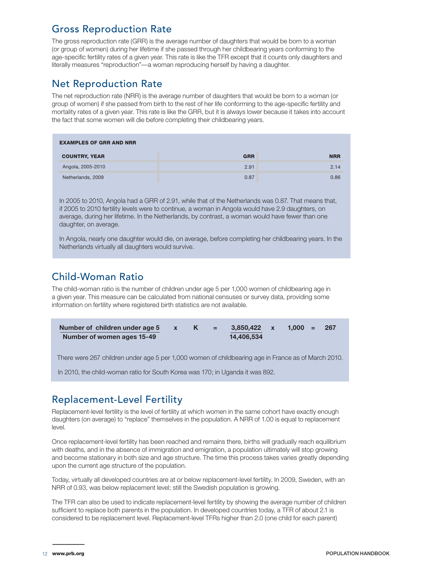### Gross Reproduction Rate

The gross reproduction rate (GRR) is the average number of daughters that would be born to a woman (or group of women) during her lifetime if she passed through her childbearing years conforming to the age-specific fertility rates of a given year. This rate is like the TFR except that it counts only daughters and literally measures "reproduction"—a woman reproducing herself by having a daughter.

### Net Reproduction Rate

The net reproduction rate (NRR) is the average number of daughters that would be born to a woman (or group of women) if she passed from birth to the rest of her life conforming to the age-specific fertility and mortality rates of a given year. This rate is like the GRR, but it is always lower because it takes into account the fact that some women will die before completing their childbearing years.

| <b>EXAMPLES OF GRR AND NRR</b> |            |            |
|--------------------------------|------------|------------|
| <b>COUNTRY, YEAR</b>           | <b>GRR</b> | <b>NRR</b> |
| Angola, 2005-2010              | 2.91       | 2.14       |
| Netherlands, 2009              | 0.87       | 0.86       |

In 2005 to 2010, Angola had a GRR of 2.91, while that of the Netherlands was 0.87. That means that, if 2005 to 2010 fertility levels were to continue, a woman in Angola would have 2.9 daughters, on average, during her lifetime. In the Netherlands, by contrast, a woman would have fewer than one daughter, on average.

In Angola, nearly one daughter would die, on average, before completing her childbearing years. In the Netherlands virtually all daughters would survive.

### Child-Woman Ratio

The child-woman ratio is the number of children under age 5 per 1,000 women of childbearing age in a given year. This measure can be calculated from national censuses or survey data, providing some information on fertility where registered birth statistics are not available.

| Number of children under age 5 x |  | $K =$ | 3.850.422 x | $1.000 = 267$ |  |
|----------------------------------|--|-------|-------------|---------------|--|
| Number of women ages 15-49       |  |       | 14.406.534  |               |  |

There were 267 children under age 5 per 1,000 women of childbearing age in France as of March 2010.

In 2010, the child-woman ratio for South Korea was 170; in Uganda it was 892.

### Replacement-Level Fertility

Replacement-level fertility is the level of fertility at which women in the same cohort have exactly enough daughters (on average) to "replace" themselves in the population. A NRR of 1.00 is equal to replacement level.

Once replacement-level fertility has been reached and remains there, births will gradually reach equilibrium with deaths, and in the absence of immigration and emigration, a population ultimately will stop growing and become stationary in both size and age structure. The time this process takes varies greatly depending upon the current age structure of the population.

Today, virtually all developed countries are at or below replacement-level fertility. In 2009, Sweden, with an NRR of 0.93, was below replacement level; still the Swedish population is growing.

The TFR can also be used to indicate replacement-level fertility by showing the average number of children sufficient to replace both parents in the population. In developed countries today, a TFR of about 2.1 is considered to be replacement level. Replacement-level TFRs higher than 2.0 (one child for each parent)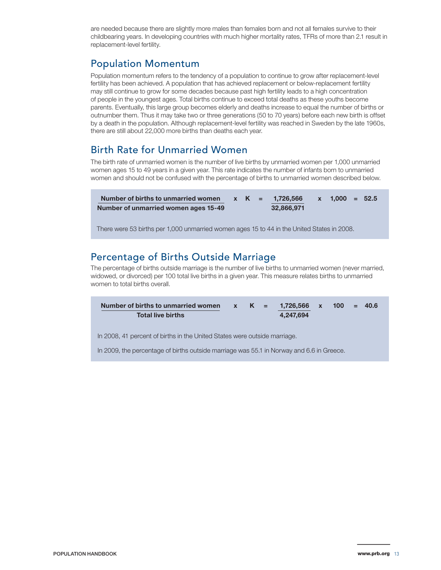are needed because there are slightly more males than females born and not all females survive to their childbearing years. In developing countries with much higher mortality rates, TFRs of more than 2.1 result in replacement-level fertility.

### Population Momentum

Population momentum refers to the tendency of a population to continue to grow after replacement-level fertility has been achieved. A population that has achieved replacement or below-replacement fertility may still continue to grow for some decades because past high fertility leads to a high concentration of people in the youngest ages. Total births continue to exceed total deaths as these youths become parents. Eventually, this large group becomes elderly and deaths increase to equal the number of births or outnumber them. Thus it may take two or three generations (50 to 70 years) before each new birth is offset by a death in the population. Although replacement-level fertility was reached in Sweden by the late 1960s, there are still about 22,000 more births than deaths each year.

### Birth Rate for Unmarried Women

The birth rate of unmarried women is the number of live births by unmarried women per 1,000 unmarried women ages 15 to 49 years in a given year. This rate indicates the number of infants born to unmarried women and should not be confused with the percentage of births to unmarried women described below.

| Number of births to unmarried women  |  | x K = 1.726.566 | $x = 1.000 = 52.5$ |  |
|--------------------------------------|--|-----------------|--------------------|--|
| Number of unmarried women ages 15-49 |  | 32,866,971      |                    |  |

There were 53 births per 1,000 unmarried women ages 15 to 44 in the United States in 2008.

### Percentage of Births Outside Marriage

The percentage of births outside marriage is the number of live births to unmarried women (never married, widowed, or divorced) per 100 total live births in a given year. This measure relates births to unmarried women to total births overall

| Number of births to unmarried women |  | x K = 1.726.566 x 100 = 40.6 |  |  |
|-------------------------------------|--|------------------------------|--|--|
| <b>Total live births</b>            |  | 4.247.694                    |  |  |

In 2008, 41 percent of births in the United States were outside marriage.

In 2009, the percentage of births outside marriage was 55.1 in Norway and 6.6 in Greece.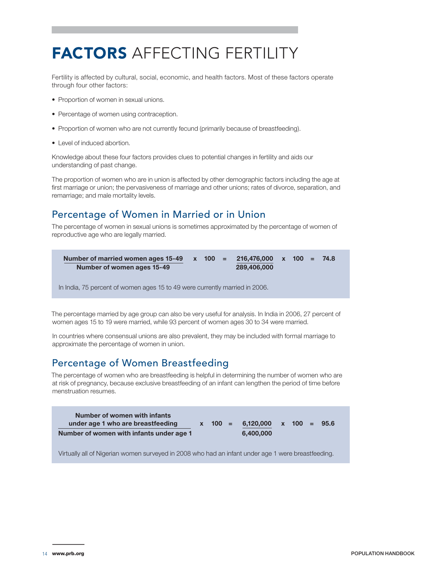# FACTORS AFFECTING FERTILITY

Fertility is affected by cultural, social, economic, and health factors. Most of these factors operate through four other factors:

- Proportion of women in sexual unions.
- Percentage of women using contraception.
- Proportion of women who are not currently fecund (primarily because of breastfeeding).
- Level of induced abortion.

Knowledge about these four factors provides clues to potential changes in fertility and aids our understanding of past change.

The proportion of women who are in union is affected by other demographic factors including the age at first marriage or union; the pervasiveness of marriage and other unions; rates of divorce, separation, and remarriage; and male mortality levels.

### Percentage of Women in Married or in Union

The percentage of women in sexual unions is sometimes approximated by the percentage of women of reproductive age who are legally married.

| Number of married women ages $15-49$ x $100 = 216,476,000$ x $100 = 74.8$ |  |             |  |  |  |
|---------------------------------------------------------------------------|--|-------------|--|--|--|
| Number of women ages 15-49                                                |  | 289,406,000 |  |  |  |

In India, 75 percent of women ages 15 to 49 were currently married in 2006.

The percentage married by age group can also be very useful for analysis. In India in 2006, 27 percent of women ages 15 to 19 were married, while 93 percent of women ages 30 to 34 were married.

In countries where consensual unions are also prevalent, they may be included with formal marriage to approximate the percentage of women in union.

### Percentage of Women Breastfeeding

The percentage of women who are breastfeeding is helpful in determining the number of women who are at risk of pregnancy, because exclusive breastfeeding of an infant can lengthen the period of time before menstruation resumes.

| Number of women with infants<br>under age 1 who are breastfeeding |  | $x = 100 = 6.120.000 \times 100 =$ |  | 95.6 |
|-------------------------------------------------------------------|--|------------------------------------|--|------|
| Number of women with infants under age 1                          |  | 6.400.000                          |  |      |

Virtually all of Nigerian women surveyed in 2008 who had an infant under age 1 were breastfeeding.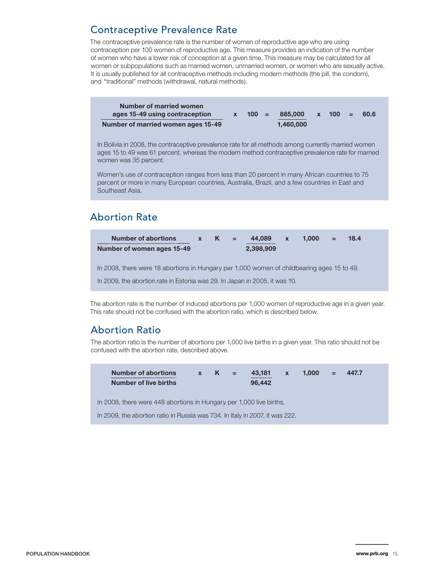### Contraceptive Prevalence Rate

The contraceptive prevalence rate is the number of women of reproductive age who are using contraception per 100 women of reproductive age. This measure provides an indication of the number of women who have a lower risk of conception at a given time. This measure may be calculated for all women or subpopulations such as married women, unmarried women, or women who are sexually active. It is usually published for all contraceptive methods including modern methods (the pill, the condom), and "traditional" methods (withdrawal, natural methods).

| Number of married women            |         |           |              |         |      |
|------------------------------------|---------|-----------|--------------|---------|------|
| ages 15-49 using contraception     | $100 =$ | 885.000   | $\mathbf{X}$ | $100 =$ | 60.6 |
| Number of married women ages 15-49 |         | 1.460.000 |              |         |      |

In Bolivia in 2008, the contraceptive prevalence rate for all methods among currently married women ages 15 to 49 was 61 percent, whereas the modern method contraceptive prevalence rate for married women was 35 percent.

Women's use of contraception ranges from less than 20 percent in many African countries to 75 percent or more in many European countries, Australia, Brazil, and a few countries in East and Southeast Asia.

### Abortion Rate



The abortion rate is the number of induced abortions per 1,000 women of reproductive age in a given year. This rate should not be confused with the abortion ratio, which is described below.

### Abortion Ratio

The abortion ratio is the number of abortions per 1,000 live births in a given year. This ratio should not be confused with the abortion rate, described above.

| <b>Number of abortions</b><br>Number of live births                 | $x = K$ | 43.181<br>96.442 | $\mathbf{X}$ | $1.000 =$ | 447.7 |  |
|---------------------------------------------------------------------|---------|------------------|--------------|-----------|-------|--|
| In 2008, there were 448 abortions in Hungary per 1,000 live births. |         |                  |              |           |       |  |

In 2009, the abortion ratio in Russia was 734. In Italy in 2007, it was 222.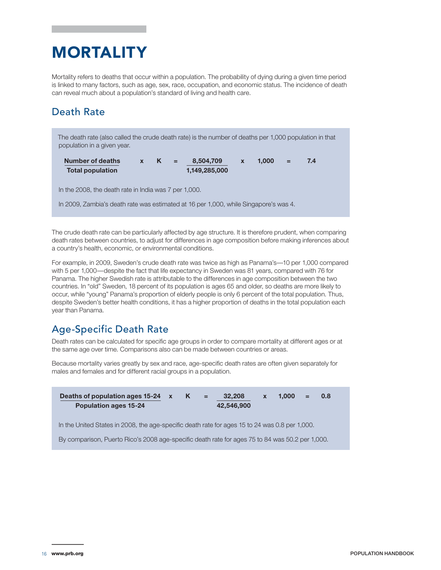# MORTALITY

Mortality refers to deaths that occur within a population. The probability of dying during a given time period is linked to many factors, such as age, sex, race, occupation, and economic status. The incidence of death can reveal much about a population's standard of living and health care.

### Death Rate

The death rate (also called the crude death rate) is the number of deaths per 1,000 population in that population in a given year.

| <b>Number of deaths</b> |  | $\mathcal{L} = \mathcal{L}$ | 8.504.709     | 1.000 | 7.4 |
|-------------------------|--|-----------------------------|---------------|-------|-----|
| <b>Total population</b> |  |                             | 1,149,285,000 |       |     |

In the 2008, the death rate in India was 7 per 1,000.

In 2009, Zambia's death rate was estimated at 16 per 1,000, while Singapore's was 4.

The crude death rate can be particularly affected by age structure. It is therefore prudent, when comparing death rates between countries, to adjust for differences in age composition before making inferences about a country's health, economic, or environmental conditions.

For example, in 2009, Sweden's crude death rate was twice as high as Panama's—10 per 1,000 compared with 5 per 1,000—despite the fact that life expectancy in Sweden was 81 years, compared with 76 for Panama. The higher Swedish rate is attributable to the differences in age composition between the two countries. In "old" Sweden, 18 percent of its population is ages 65 and older, so deaths are more likely to occur, while "young" Panama's proportion of elderly people is only 6 percent of the total population. Thus, despite Sweden's better health conditions, it has a higher proportion of deaths in the total population each year than Panama.

### Age-Specific Death Rate

Death rates can be calculated for specific age groups in order to compare mortality at different ages or at the same age over time. Comparisons also can be made between countries or areas.

Because mortality varies greatly by sex and race, age-specific death rates are often given separately for males and females and for different racial groups in a population.

| Deaths of population ages 15-24 x<br><b>Population ages 15-24</b>                               | K<br>$\equiv$ | 32,208<br>42,546,900 | $\mathbf{x}$ | 1.000 | 0.8 |
|-------------------------------------------------------------------------------------------------|---------------|----------------------|--------------|-------|-----|
| In the United States in 2008, the age-specific death rate for ages 15 to 24 was 0.8 per 1,000.  |               |                      |              |       |     |
| By comparison, Puerto Rico's 2008 age-specific death rate for ages 75 to 84 was 50.2 per 1,000. |               |                      |              |       |     |
|                                                                                                 |               |                      |              |       |     |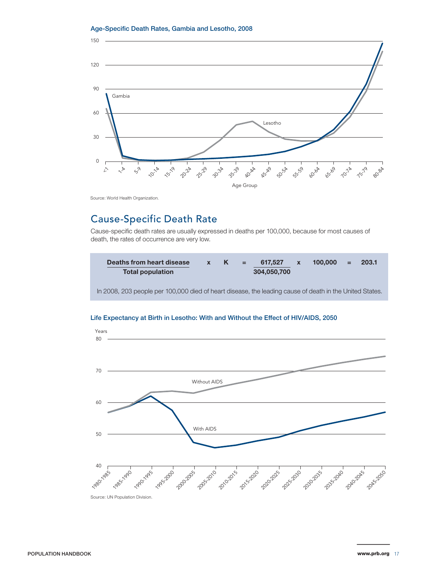#### Age-Specific Death Rates, Gambia and Lesotho, 2008



Source: World Health Organization.

### Cause-Specific Death Rate

Cause-specific death rates are usually expressed in deaths per 100,000, because for most causes of death, the rates of occurrence are very low.





#### Life Expectancy at Birth in Lesotho: With and Without the Effect of HIV/AIDS, 2050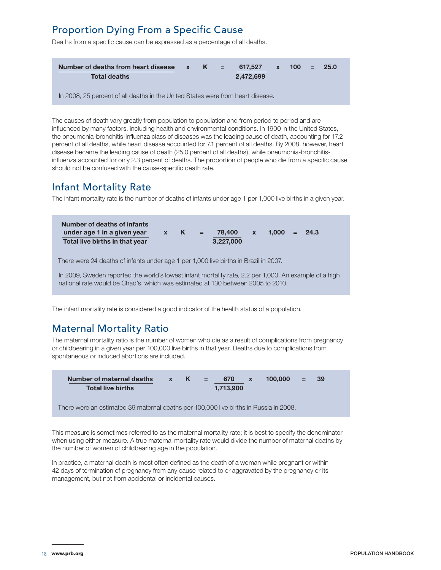### Proportion Dying From a Specific Cause

Deaths from a specific cause can be expressed as a percentage of all deaths.

| Number of deaths from heart disease $x$ K = 617,527 $x$ 100 =<br><b>Total deaths</b> |  | 2.472.699 |  | -25.0 |  |
|--------------------------------------------------------------------------------------|--|-----------|--|-------|--|
| In 2008, 25 percent of all deaths in the United States were from heart disease.      |  |           |  |       |  |

The causes of death vary greatly from population to population and from period to period and are influenced by many factors, including health and environmental conditions. In 1900 in the United States, the pneumonia-bronchitis-influenza class of diseases was the leading cause of death, accounting for 17.2 percent of all deaths, while heart disease accounted for 7.1 percent of all deaths. By 2008, however, heart disease became the leading cause of death (25.0 percent of all deaths), while pneumonia-bronchitisinfluenza accounted for only 2.3 percent of deaths. The proportion of people who die from a specific cause should not be confused with the cause-specific death rate.

### Infant Mortality Rate

The infant mortality rate is the number of deaths of infants under age 1 per 1,000 live births in a given year.

| Number of deaths of infants<br>under age 1 in a given year<br>Total live births in that year                                                                                              | $\mathsf{x}$ K | $\sim$ $\approx$ | 78,400<br>3,227,000 | $\mathbf{x}$ | 1.000 | $= 24.3$ |
|-------------------------------------------------------------------------------------------------------------------------------------------------------------------------------------------|----------------|------------------|---------------------|--------------|-------|----------|
| There were 24 deaths of infants under age 1 per 1,000 live births in Brazil in 2007.                                                                                                      |                |                  |                     |              |       |          |
| In 2009, Sweden reported the world's lowest infant mortality rate, 2.2 per 1,000. An example of a high<br>national rate would be Chad's, which was estimated at 130 between 2005 to 2010. |                |                  |                     |              |       |          |

The infant mortality rate is considered a good indicator of the health status of a population.

### Maternal Mortality Ratio

The maternal mortality ratio is the number of women who die as a result of complications from pregnancy or childbearing in a given year per 100,000 live births in that year. Deaths due to complications from spontaneous or induced abortions are included.

| Number of maternal deaths<br><b>Total live births</b>                                 | $\mathbf{x}$ | $K =$ | 670<br>1.713.900 | $\mathbf{x}$ | 100.000 | $=$ 39 |  |
|---------------------------------------------------------------------------------------|--------------|-------|------------------|--------------|---------|--------|--|
| There were an estimated 39 maternal deaths per 100,000 live births in Russia in 2008. |              |       |                  |              |         |        |  |

This measure is sometimes referred to as the maternal mortality rate; it is best to specify the denominator when using either measure. A true maternal mortality rate would divide the number of maternal deaths by the number of women of childbearing age in the population.

In practice, a maternal death is most often defined as the death of a woman while pregnant or within 42 days of termination of pregnancy from any cause related to or aggravated by the pregnancy or its management, but not from accidental or incidental causes.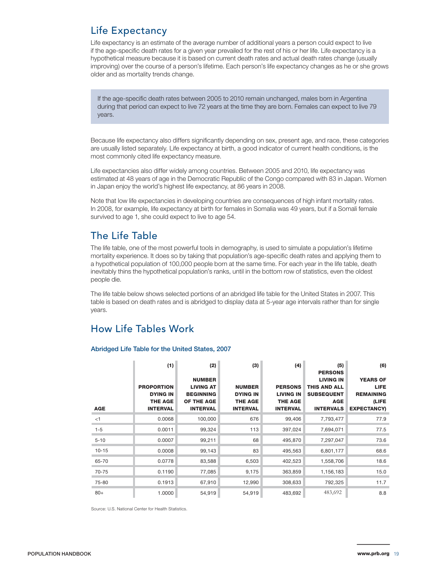### Life Expectancy

Life expectancy is an estimate of the average number of additional years a person could expect to live if the age-specific death rates for a given year prevailed for the rest of his or her life. Life expectancy is a hypothetical measure because it is based on current death rates and actual death rates change (usually improving) over the course of a person's lifetime. Each person's life expectancy changes as he or she grows older and as mortality trends change.

If the age-specific death rates between 2005 to 2010 remain unchanged, males born in Argentina during that period can expect to live 72 years at the time they are born. Females can expect to live 79 years.

Because life expectancy also differs significantly depending on sex, present age, and race, these categories are usually listed separately. Life expectancy at birth, a good indicator of current health conditions, is the most commonly cited life expectancy measure.

Life expectancies also differ widely among countries. Between 2005 and 2010, life expectancy was estimated at 48 years of age in the Democratic Republic of the Congo compared with 83 in Japan. Women in Japan enjoy the world's highest life expectancy, at 86 years in 2008.

Note that low life expectancies in developing countries are consequences of high infant mortality rates. In 2008, for example, life expectancy at birth for females in Somalia was 49 years, but if a Somali female survived to age 1, she could expect to live to age 54.

### The Life Table

The life table, one of the most powerful tools in demography, is used to simulate a population's lifetime mortality experience. It does so by taking that population's age-specific death rates and applying them to a hypothetical population of 100,000 people born at the same time. For each year in the life table, death inevitably thins the hypothetical population's ranks, until in the bottom row of statistics, even the oldest people die.

The life table below shows selected portions of an abridged life table for the United States in 2007. This table is based on death rates and is abridged to display data at 5-year age intervals rather than for single years.

### How Life Tables Work

#### Abridged Life Table for the United States, 2007

|            | (1)               | (2)              | (3)             | (4)              | (5)<br><b>PERSONS</b> | (6)                |
|------------|-------------------|------------------|-----------------|------------------|-----------------------|--------------------|
|            |                   | <b>NUMBER</b>    |                 |                  | <b>LIVING IN</b>      | <b>YEARS OF</b>    |
|            | <b>PROPORTION</b> | <b>LIVING AT</b> | <b>NUMBER</b>   | <b>PERSONS</b>   | <b>THIS AND ALL</b>   | <b>LIFE</b>        |
|            | <b>DYING IN</b>   | <b>BEGINNING</b> | <b>DYING IN</b> | <b>LIVING IN</b> | <b>SUBSEQUENT</b>     | <b>REMAINING</b>   |
|            | <b>THE AGE</b>    | OF THE AGE       | <b>THE AGE</b>  | <b>THE AGE</b>   | <b>AGE</b>            | (LIFE              |
| <b>AGE</b> | <b>INTERVAL</b>   | <b>INTERVAL</b>  | <b>INTERVAL</b> | <b>INTERVAL</b>  | <b>INTERVALS</b>      | <b>EXPECTANCY)</b> |
| $<$ 1      | 0.0068            | 100,000          | 676             | 99,406           | 7,793,477             | 77.9               |
| $1 - 5$    | 0.0011            | 99,324           | 113             | 397,024          | 7,694,071             | 77.5               |
| $5 - 10$   | 0.0007            | 99,211           | 68              | 495,870          | 7,297,047             | 73.6               |
| $10 - 15$  | 0.0008            | 99,143           | 83              | 495,563          | 6,801,177             | 68.6               |
| 65-70      | 0.0778            | 83,588           | 6,503           | 402,523          | 1,558,706             | 18.6               |
| 70-75      | 0.1190            | 77,085           | 9,175           | 363,859          | 1,156,183             | 15.0               |
| 75-80      | 0.1913            | 67,910           | 12,990          | 308,633          | 792,325               | 11.7               |
| $80+$      | 1.0000            | 54,919           | 54,919          | 483,692          | 483,692               | 8.8                |

Source: U.S. National Center for Health Statistics.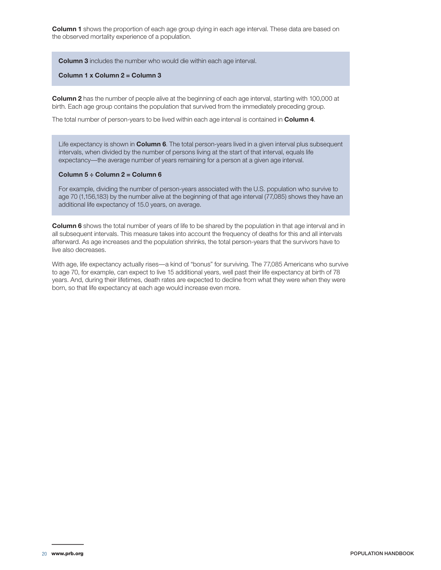**Column 1** shows the proportion of each age group dying in each age interval. These data are based on the observed mortality experience of a population.

**Column 3** includes the number who would die within each age interval.

**Column 1 x Column 2 = Column 3**

**Column 2** has the number of people alive at the beginning of each age interval, starting with 100,000 at birth. Each age group contains the population that survived from the immediately preceding group.

The total number of person-years to be lived within each age interval is contained in **Column 4**.

Life expectancy is shown in **Column 6**. The total person-years lived in a given interval plus subsequent intervals, when divided by the number of persons living at the start of that interval, equals life expectancy—the average number of years remaining for a person at a given age interval.

#### **Column 5 ÷ Column 2 = Column 6**

For example, dividing the number of person-years associated with the U.S. population who survive to age 70 (1,156,183) by the number alive at the beginning of that age interval (77,085) shows they have an additional life expectancy of 15.0 years, on average.

**Column 6** shows the total number of years of life to be shared by the population in that age interval and in all subsequent intervals. This measure takes into account the frequency of deaths for this and all intervals afterward. As age increases and the population shrinks, the total person-years that the survivors have to live also decreases.

With age, life expectancy actually rises—a kind of "bonus" for surviving. The 77,085 Americans who survive to age 70, for example, can expect to live 15 additional years, well past their life expectancy at birth of 78 years. And, during their lifetimes, death rates are expected to decline from what they were when they were born, so that life expectancy at each age would increase even more.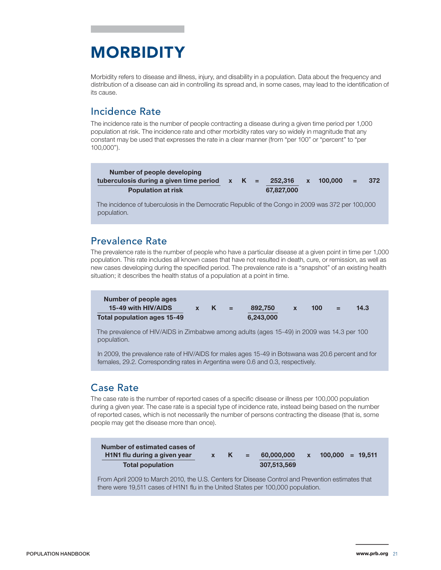# MORBIDITY

Morbidity refers to disease and illness, injury, and disability in a population. Data about the frequency and distribution of a disease can aid in controlling its spread and, in some cases, may lead to the identification of its cause.

### Incidence Rate

The incidence rate is the number of people contracting a disease during a given time period per 1,000 population at risk. The incidence rate and other morbidity rates vary so widely in magnitude that any constant may be used that expresses the rate in a clear manner (from "per 100" or "percent" to "per 100,000").

| Number of people developing                     |  |            |             |      |
|-------------------------------------------------|--|------------|-------------|------|
| tuberculosis during a given time period $x$ K = |  | 252.316    | x 100.000 = | -372 |
| <b>Population at risk</b>                       |  | 67,827,000 |             |      |

The incidence of tuberculosis in the Democratic Republic of the Congo in 2009 was 372 per 100,000 population.

### Prevalence Rate

The prevalence rate is the number of people who have a particular disease at a given point in time per 1,000 population. This rate includes all known cases that have not resulted in death, cure, or remission, as well as new cases developing during the specified period. The prevalence rate is a "snapshot" of an existing health situation; it describes the health status of a population at a point in time.

| Number of people ages<br>15-49 with HIV/AIDS<br><b>Total population ages 15-49</b>                       | $\mathbf{x}$ | $K =$ | 892,750<br>6.243,000 | $\mathbf{x}$ | 100 | - = | 14.3 |  |
|----------------------------------------------------------------------------------------------------------|--------------|-------|----------------------|--------------|-----|-----|------|--|
| The prevalence of HIV/AIDS in Zimbabwe among adults (ages 15-49) in 2009 was 14.3 per 100<br>population. |              |       |                      |              |     |     |      |  |

In 2009, the prevalence rate of HIV/AIDS for males ages 15-49 in Botswana was 20.6 percent and for females, 29.2. Corresponding rates in Argentina were 0.6 and 0.3, respectively.

### Case Rate

The case rate is the number of reported cases of a specific disease or illness per 100,000 population during a given year. The case rate is a special type of incidence rate, instead being based on the number of reported cases, which is not necessarily the number of persons contracting the disease (that is, some people may get the disease more than once).

From April 2009 to March 2010, the U.S. Centers for Disease Control and Prevention estimates that there were 19,511 cases of H1N1 flu in the United States per 100,000 population.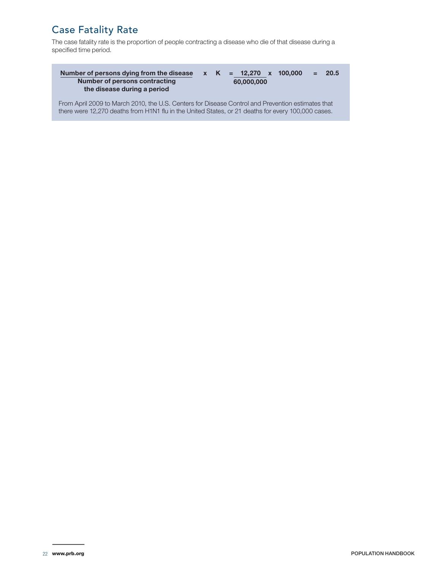### Case Fatality Rate

The case fatality rate is the proportion of people contracting a disease who die of that disease during a specified time period.

| Number of persons dying from the disease<br>Number of persons contracting<br>the disease during a period |  | 60,000,000 | $x K = 12,270 x 100,000$ | $= 20.5$ |
|----------------------------------------------------------------------------------------------------------|--|------------|--------------------------|----------|
| From April 2009 to March 2010, the U.S. Centers for Disease Control and Prevention estimates that        |  |            |                          |          |

there were 12,270 deaths from H1N1 flu in the United States, or 21 deaths for every 100,000 cases.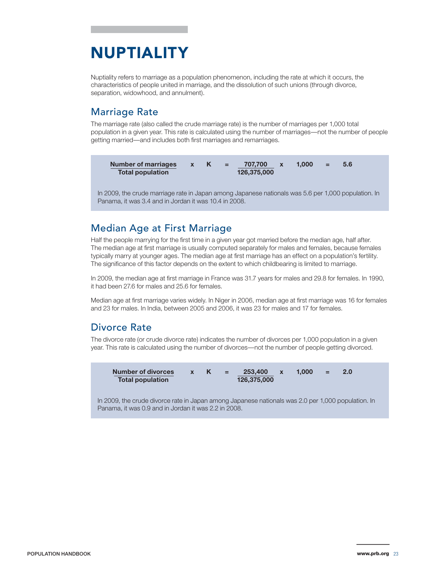# NUPTIALITY

Nuptiality refers to marriage as a population phenomenon, including the rate at which it occurs, the characteristics of people united in marriage, and the dissolution of such unions (through divorce, separation, widowhood, and annulment).

### Marriage Rate

The marriage rate (also called the crude marriage rate) is the number of marriages per 1,000 total population in a given year. This rate is calculated using the number of marriages—not the number of people getting married—and includes both first marriages and remarriages.



In 2009, the crude marriage rate in Japan among Japanese nationals was 5.6 per 1,000 population. In Panama, it was 3.4 and in Jordan it was 10.4 in 2008.

### Median Age at First Marriage

Half the people marrying for the first time in a given year got married before the median age, half after. The median age at first marriage is usually computed separately for males and females, because females typically marry at younger ages. The median age at first marriage has an effect on a population's fertility. The significance of this factor depends on the extent to which childbearing is limited to marriage.

In 2009, the median age at first marriage in France was 31.7 years for males and 29.8 for females. In 1990, it had been 27.6 for males and 25.6 for females.

Median age at first marriage varies widely. In Niger in 2006, median age at first marriage was 16 for females and 23 for males. In India, between 2005 and 2006, it was 23 for males and 17 for females.

### Divorce Rate

The divorce rate (or crude divorce rate) indicates the number of divorces per 1,000 population in a given year. This rate is calculated using the number of divorces—not the number of people getting divorced.

| <b>Number of divorces</b> |  | $\mathbf{v} = \mathbf{v}$ | 253.400     | 1.000 | $\mathbf{v} = \mathbf{v}$ | 2.0 |
|---------------------------|--|---------------------------|-------------|-------|---------------------------|-----|
| <b>Total population</b>   |  |                           | 126,375,000 |       |                           |     |

In 2009, the crude divorce rate in Japan among Japanese nationals was 2.0 per 1,000 population. In Panama, it was 0.9 and in Jordan it was 2.2 in 2008.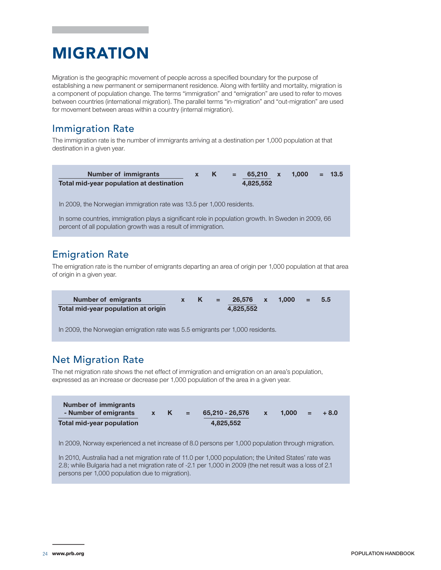# MIGRATION

Migration is the geographic movement of people across a specified boundary for the purpose of establishing a new permanent or semipermanent residence. Along with fertility and mortality, migration is a component of population change. The terms "immigration" and "emigration" are used to refer to moves between countries (international migration). The parallel terms "in-migration" and "out-migration" are used for movement between areas within a country (internal migration).

### Immigration Rate

The immigration rate is the number of immigrants arriving at a destination per 1,000 population at that destination in a given year.

| <b>Number of immigrants</b><br>Total mid-year population at destination | $\mathbf{x}$ | $\sim$ K $\sim$ | $\equiv$ . | $65.210 \times$<br>4.825.552 | 1.000 | $= 13.5$ |
|-------------------------------------------------------------------------|--------------|-----------------|------------|------------------------------|-------|----------|
| In 2009, the Norwegian immigration rate was 13.5 per 1,000 residents.   |              |                 |            |                              |       |          |

In some countries, immigration plays a significant role in population growth. In Sweden in 2009, 66 percent of all population growth was a result of immigration.

### Emigration Rate

The emigration rate is the number of emigrants departing an area of origin per 1,000 population at that area of origin in a given year.

| <b>Number of emigrants</b>          |  | $x \quad K = 26,576 \quad x \quad 1,000 = 5.5$ |  |  |  |
|-------------------------------------|--|------------------------------------------------|--|--|--|
| Total mid-year population at origin |  | 4.825.552                                      |  |  |  |

In 2009, the Norwegian emigration rate was 5.5 emigrants per 1,000 residents.

### Net Migration Rate

The net migration rate shows the net effect of immigration and emigration on an area's population, expressed as an increase or decrease per 1,000 population of the area in a given year.

| Number of immigrants<br>- Number of emigrants | $\mathbf{x}$ | $K =$ | 65.210 - 26.576 | $\mathbf{x}$ | 1.000 | <b>The Common Section</b> | $+8.0$ |
|-----------------------------------------------|--------------|-------|-----------------|--------------|-------|---------------------------|--------|
| Total mid-year population                     |              |       | 4.825.552       |              |       |                           |        |

In 2009, Norway experienced a net increase of 8.0 persons per 1,000 population through migration.

In 2010, Australia had a net migration rate of 11.0 per 1,000 population; the United States' rate was 2.8; while Bulgaria had a net migration rate of -2.1 per 1,000 in 2009 (the net result was a loss of 2.1 persons per 1,000 population due to migration).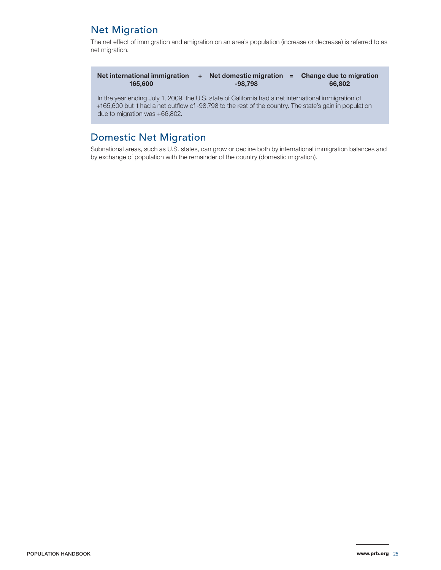### Net Migration

The net effect of immigration and emigration on an area's population (increase or decrease) is referred to as net migration.

| Net international immigration |           | Net domestic migration $=$ Change due to migration |
|-------------------------------|-----------|----------------------------------------------------|
| 165,600                       | $-98.798$ | 66,802                                             |

In the year ending July 1, 2009, the U.S. state of California had a net international immigration of +165,600 but it had a net outflow of -98,798 to the rest of the country. The state's gain in population due to migration was +66,802.

### Domestic Net Migration

Subnational areas, such as U.S. states, can grow or decline both by international immigration balances and by exchange of population with the remainder of the country (domestic migration).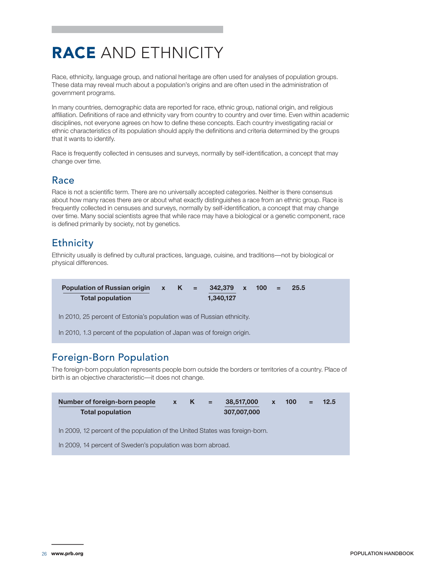# RACE AND ETHNICITY

Race, ethnicity, language group, and national heritage are often used for analyses of population groups. These data may reveal much about a population's origins and are often used in the administration of government programs.

In many countries, demographic data are reported for race, ethnic group, national origin, and religious affiliation. Definitions of race and ethnicity vary from country to country and over time. Even within academic disciplines, not everyone agrees on how to define these concepts. Each country investigating racial or ethnic characteristics of its population should apply the definitions and criteria determined by the groups that it wants to identify.

Race is frequently collected in censuses and surveys, normally by self-identification, a concept that may change over time.

### Race

Race is not a scientific term. There are no universally accepted categories. Neither is there consensus about how many races there are or about what exactly distinguishes a race from an ethnic group. Race is frequently collected in censuses and surveys, normally by self-identification, a concept that may change over time. Many social scientists agree that while race may have a biological or a genetic component, race is defined primarily by society, not by genetics.

### **Ethnicity**

Ethnicity usually is defined by cultural practices, language, cuisine, and traditions—not by biological or physical differences.

| <b>Population of Russian origin</b><br>Total population                | $\mathbf{X}$ | $K =$ |  | $342,379 \times 100 =$<br>1,340,127 |  |  |  | 25.5 |  |  |
|------------------------------------------------------------------------|--------------|-------|--|-------------------------------------|--|--|--|------|--|--|
| In 2010, 25 percent of Estonia's population was of Russian ethnicity.  |              |       |  |                                     |  |  |  |      |  |  |
| In 2010, 1.3 percent of the population of Japan was of foreign origin. |              |       |  |                                     |  |  |  |      |  |  |

### Foreign-Born Population

The foreign-born population represents people born outside the borders or territories of a country. Place of birth is an objective characteristic—it does not change.

| Number of foreign-born people<br><b>Total population</b>                     | $\mathbf{x}$ | ĸ | $=$ | 38,517,000<br>307,007,000 | $\mathbf{x}$ | 100 | $=$ | 12.5 |
|------------------------------------------------------------------------------|--------------|---|-----|---------------------------|--------------|-----|-----|------|
| In 2009, 12 percent of the population of the United States was foreign-born. |              |   |     |                           |              |     |     |      |
| In 2009, 14 percent of Sweden's population was born abroad.                  |              |   |     |                           |              |     |     |      |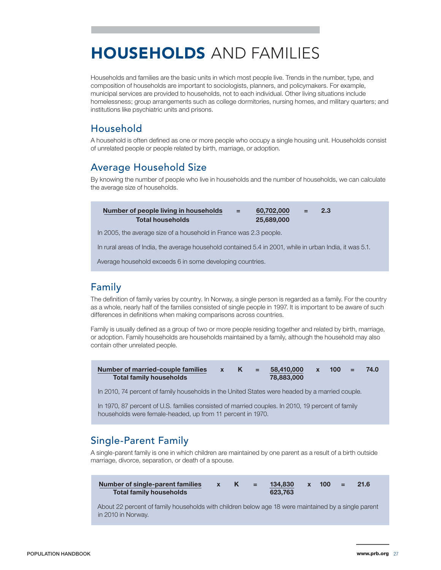# HOUSEHOLDS AND FAMILIES

Households and families are the basic units in which most people live. Trends in the number, type, and composition of households are important to sociologists, planners, and policymakers. For example, municipal services are provided to households, not to each individual. Other living situations include homelessness; group arrangements such as college dormitories, nursing homes, and military quarters; and institutions like psychiatric units and prisons.

### Household

A household is often defined as one or more people who occupy a single housing unit. Households consist of unrelated people or people related by birth, marriage, or adoption.

### Average Household Size

By knowing the number of people who live in households and the number of households, we can calculate the average size of households.

| Number of people living in households<br><b>Total households</b>                                        | $=$ | 60,702,000<br>25,689,000 | 2.3 |
|---------------------------------------------------------------------------------------------------------|-----|--------------------------|-----|
| In 2005, the average size of a household in France was 2.3 people.                                      |     |                          |     |
| In rural areas of India, the average household contained 5.4 in 2001, while in urban India, it was 5.1. |     |                          |     |
| Average household exceeds 6 in some developing countries.                                               |     |                          |     |

### Family

The definition of family varies by country. In Norway, a single person is regarded as a family. For the country as a whole, nearly half of the families consisted of single people in 1997. It is important to be aware of such differences in definitions when making comparisons across countries.

Family is usually defined as a group of two or more people residing together and related by birth, marriage, or adoption. Family households are households maintained by a family, although the household may also contain other unrelated people.

| Number of married-couple families |  | 58.410.000 | $\mathbf{x}$ | $100 = 7$ | 74.0 |
|-----------------------------------|--|------------|--------------|-----------|------|
| <b>Total family households</b>    |  | 78,883,000 |              |           |      |

In 2010, 74 percent of family households in the United States were headed by a married couple.

In 1970, 87 percent of U.S. families consisted of married couples. In 2010, 19 percent of family households were female-headed, up from 11 percent in 1970.

### Single-Parent Family

A single-parent family is one in which children are maintained by one parent as a result of a birth outside marriage, divorce, separation, or death of a spouse.

| Number of single-parent families |  | \ = \ | 134.830 | $x = 100 = 1$ | 21.6 |  |
|----------------------------------|--|-------|---------|---------------|------|--|
| <b>Total family households</b>   |  |       | 623.763 |               |      |  |

About 22 percent of family households with children below age 18 were maintained by a single parent in 2010 in Norway.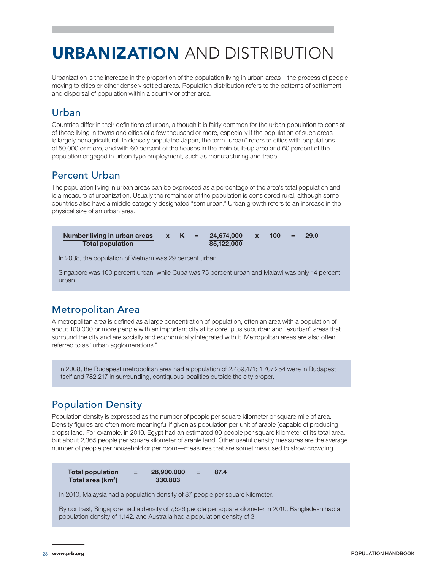# URBANIZATION AND DISTRIBUTION

Urbanization is the increase in the proportion of the population living in urban areas—the process of people moving to cities or other densely settled areas. Population distribution refers to the patterns of settlement and dispersal of population within a country or other area.

### Urban

Countries differ in their definitions of urban, although it is fairly common for the urban population to consist of those living in towns and cities of a few thousand or more, especially if the population of such areas is largely nonagricultural. In densely populated Japan, the term "urban" refers to cities with populations of 50,000 or more, and with 60 percent of the houses in the main built-up area and 60 percent of the population engaged in urban type employment, such as manufacturing and trade.

### Percent Urban

The population living in urban areas can be expressed as a percentage of the area's total population and is a measure of urbanization. Usually the remainder of the population is considered rural, although some countries also have a middle category designated "semiurban." Urban growth refers to an increase in the physical size of an urban area.

| Number living in urban areas |  | $K =$ | 24.674.000 | $-100 -$ | $\sim$ $\approx$ $\sim$ | -29.0 |  |
|------------------------------|--|-------|------------|----------|-------------------------|-------|--|
| <b>Total population</b>      |  |       | 85.122.000 |          |                         |       |  |

In 2008, the population of Vietnam was 29 percent urban.

Singapore was 100 percent urban, while Cuba was 75 percent urban and Malawi was only 14 percent urban.

### Metropolitan Area

A metropolitan area is defined as a large concentration of population, often an area with a population of about 100,000 or more people with an important city at its core, plus suburban and "exurban" areas that surround the city and are socially and economically integrated with it. Metropolitan areas are also often referred to as "urban agglomerations."

In 2008, the Budapest metropolitan area had a population of 2,489,471; 1,707,254 were in Budapest itself and 782,217 in surrounding, contiguous localities outside the city proper.

### Population Density

Population density is expressed as the number of people per square kilometer or square mile of area. Density figures are often more meaningful if given as population per unit of arable (capable of producing crops) land. For example, in 2010, Egypt had an estimated 80 people per square kilometer of its total area, but about 2,365 people per square kilometer of arable land. Other useful density measures are the average number of people per household or per room—measures that are sometimes used to show crowding.

| <b>Total population</b>       | 28,900,000 | $=$ | 87.4 |
|-------------------------------|------------|-----|------|
| Total area (km <sup>2</sup> ) | 330,803    |     |      |

In 2010, Malaysia had a population density of 87 people per square kilometer.

By contrast, Singapore had a density of 7,526 people per square kilometer in 2010, Bangladesh had a population density of 1,142, and Australia had a population density of 3.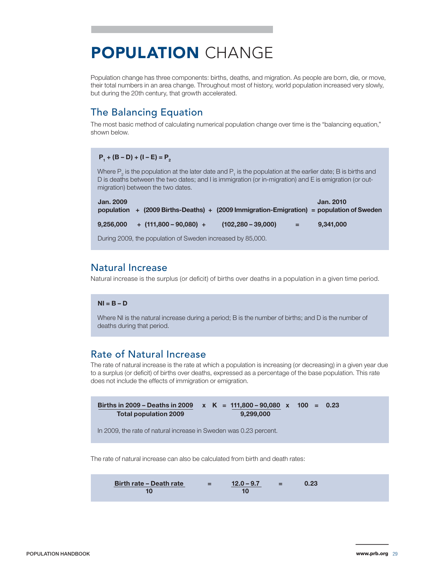# POPULATION CHANGE

Population change has three components: births, deaths, and migration. As people are born, die, or move, their total numbers in an area change. Throughout most of history, world population increased very slowly, but during the 20th century, that growth accelerated.

### The Balancing Equation

The most basic method of calculating numerical population change over time is the "balancing equation," shown below.

#### $P_1 + (B - D) + (I - E) = P_2$

Where  $\mathsf{P}_{2}$  is the population at the later date and  $\mathsf{P}_{1}$  is the population at the earlier date; B is births and D is deaths between the two dates; and I is immigration (or in-migration) and E is emigration (or outmigration) between the two dates.

| <b>Jan. 2009</b> | population + $(2009$ Births-Deaths) + $(2009)$ Immigration-Emigration = population of Sweden |                      |     | <b>Jan. 2010</b> |
|------------------|----------------------------------------------------------------------------------------------|----------------------|-----|------------------|
| 9,256,000        | $+$ (111,800 – 90,080) +                                                                     | $(102.280 - 39.000)$ | $=$ | 9.341.000        |
|                  | During 2009, the population of Sweden increased by 85,000.                                   |                      |     |                  |

### Natural Increase

Natural increase is the surplus (or deficit) of births over deaths in a population in a given time period.

#### **NI = B – D**

Where NI is the natural increase during a period; B is the number of births; and D is the number of deaths during that period.

### Rate of Natural Increase

The rate of natural increase is the rate at which a population is increasing (or decreasing) in a given year due to a surplus (or deficit) of births over deaths, expressed as a percentage of the base population. This rate does not include the effects of immigration or emigration.

**Births in 2009 – Deaths in 2009 x K = 111,800 – 90,080 x 100 = 0.23 Total population 2009 9,299,000**

In 2009, the rate of natural increase in Sweden was 0.23 percent.

The rate of natural increase can also be calculated from birth and death rates:

| Birth rate – Death rate | =  | $12.0 - 9.7$ | = | $0.23$ |
|-------------------------|----|--------------|---|--------|
| 10                      | 10 | 10           |   |        |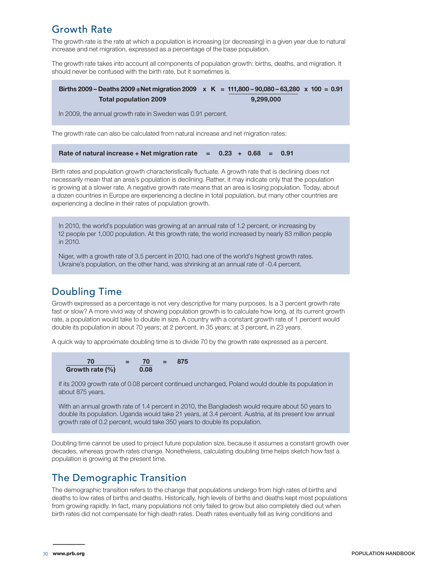### Growth Rate

The growth rate is the rate at which a population is increasing (or decreasing) in a given year due to natural increase and net migration, expressed as a percentage of the base population.

The growth rate takes into account all components of population growth: births, deaths, and migration. It should never be confused with the birth rate, but it sometimes is.

**Births 2009 – Deaths 2009 ±Net migration 2009 x K = 111,800 – 90,080 – 63,280 x 100 = 0.91 Total population 2009** 9,299,000

In 2009, the annual growth rate in Sweden was 0.91 percent.

The growth rate can also be calculated from natural increase and net migration rates:

**Rate of natural increase + Net migration rate = 0.23 + 0.68 = 0.91**

Birth rates and population growth characteristically fluctuate. A growth rate that is declining does not necessarily mean that an area's population is declining. Rather, it may indicate only that the population is growing at a slower rate. A negative growth rate means that an area is losing population. Today, about a dozen countries in Europe are experiencing a decline in total population, but many other countries are experiencing a decline in their rates of population growth.

In 2010, the world's population was growing at an annual rate of 1.2 percent, or increasing by 12 people per 1,000 population. At this growth rate, the world increased by nearly 83 million people in 2010.

Niger, with a growth rate of 3.5 percent in 2010, had one of the world's highest growth rates. Ukraine's population, on the other hand, was shrinking at an annual rate of -0.4 percent.

### Doubling Time

Growth expressed as a percentage is not very descriptive for many purposes. Is a 3 percent growth rate fast or slow? A more vivid way of showing population growth is to calculate how long, at its current growth rate, a population would take to double in size. A country with a constant growth rate of 1 percent would double its population in about 70 years; at 2 percent, in 35 years; at 3 percent, in 23 years.

A quick way to approximate doubling time is to divide 70 by the growth rate expressed as a percent.

| 70                  | 70   | æ., | 875 |
|---------------------|------|-----|-----|
| Growth rate $(\% )$ | 0.08 |     |     |

If its 2009 growth rate of 0.08 percent continued unchanged, Poland would double its population in about 875 years.

With an annual growth rate of 1.4 percent in 2010, the Bangladesh would require about 50 years to double its population. Uganda would take 21 years, at 3.4 percent. Austria, at its present low annual growth rate of 0.2 percent, would take 350 years to double its population.

Doubling time cannot be used to project future population size, because it assumes a constant growth over decades, whereas growth rates change. Nonetheless, calculating doubling time helps sketch how fast a population is growing at the present time.

### The Demographic Transition

The demographic transition refers to the change that populations undergo from high rates of births and deaths to low rates of births and deaths. Historically, high levels of births and deaths kept most populations from growing rapidly. In fact, many populations not only failed to grow but also completely died out when birth rates did not compensate for high death rates. Death rates eventually fell as living conditions and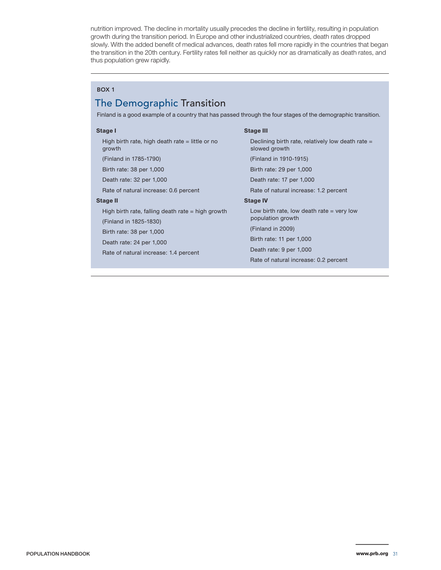nutrition improved. The decline in mortality usually precedes the decline in fertility, resulting in population growth during the transition period. In Europe and other industrialized countries, death rates dropped slowly. With the added benefit of medical advances, death rates fell more rapidly in the countries that began the transition in the 20th century. Fertility rates fell neither as quickly nor as dramatically as death rates, and thus population grew rapidly.

#### BOX 1

### The Demographic Transition

Finland is a good example of a country that has passed through the four stages of the demographic transition.

#### **Stage I**

High birth rate, high death rate = little or no growth

(Finland in 1785-1790)

Birth rate: 38 per 1,000

Death rate: 32 per 1,000

Rate of natural increase: 0.6 percent

#### **Stage II**

High birth rate, falling death rate  $=$  high growth

(Finland in 1825-1830)

Birth rate: 38 per 1,000

Death rate: 24 per 1,000

Rate of natural increase: 1.4 percent

#### **Stage III**

Declining birth rate, relatively low death rate = slowed growth (Finland in 1910-1915) Birth rate: 29 per 1,000

Death rate: 17 per 1,000

Rate of natural increase: 1.2 percent

#### **Stage IV**

Low birth rate, low death rate  $=$  very low population growth

(Finland in 2009)

Birth rate: 11 per 1,000

Death rate: 9 per 1,000

Rate of natural increase: 0.2 percent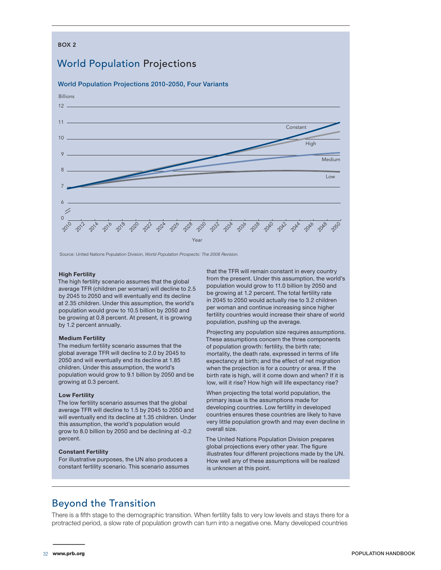### BOX 2 World Population Projections World Population Projections 2010-2050, Four Variants **Constant** Billions 10 12 11



Source: United Nations Population Division, *World Population Prospects: The 2008 Revision.*

#### **High Fertility**

The high fertility scenario assumes that the global average TFR (children per woman) will decline to 2.5 by 2045 to 2050 and will eventually end its decline at 2.35 children. Under this assumption, the world's population would grow to 10.5 billion by 2050 and be growing at 0.8 percent. At present, it is growing by 1.2 percent annually.

#### **Medium Fertility**

The medium fertility scenario assumes that the global average TFR will decline to 2.0 by 2045 to 2050 and will eventually end its decline at 1.85 children. Under this assumption, the world's population would grow to 9.1 billion by 2050 and be growing at 0.3 percent.

#### **Low Fertility**

The low fertility scenario assumes that the global average TFR will decline to 1.5 by 2045 to 2050 and will eventually end its decline at 1.35 children. Under this assumption, the world's population would grow to 8.0 billion by 2050 and be declining at -0.2 percent.

#### **Constant Fertility**

For illustrative purposes, the UN also produces a constant fertility scenario. This scenario assumes that the TFR will remain constant in every country from the present. Under this assumption, the world's population would grow to 11.0 billion by 2050 and be growing at 1.2 percent. The total fertility rate in 2045 to 2050 would actually rise to 3.2 children per woman and continue increasing since higher fertility countries would increase their share of world population, pushing up the average.

Projecting any population size requires *assumptions*. These assumptions concern the three components of population growth: fertility, the birth rate; mortality, the death rate, expressed in terms of life expectancy at birth; and the effect of net migration when the projection is for a country or area. If the birth rate is high, will it come down and when? If it is low, will it rise? How high will life expectancy rise?

When projecting the total world population, the primary issue is the assumptions made for developing countries. Low fertility in developed countries ensures these countries are likely to have very little population growth and may even decline in overall size.

The United Nations Population Division prepares global projections every other year. The figure illustrates four different projections made by the UN. How well any of these assumptions will be realized is unknown at this point.

### Beyond the Transition

There is a fifth stage to the demographic transition. When fertility falls to very low levels and stays there for a protracted period, a slow rate of population growth can turn into a negative one. Many developed countries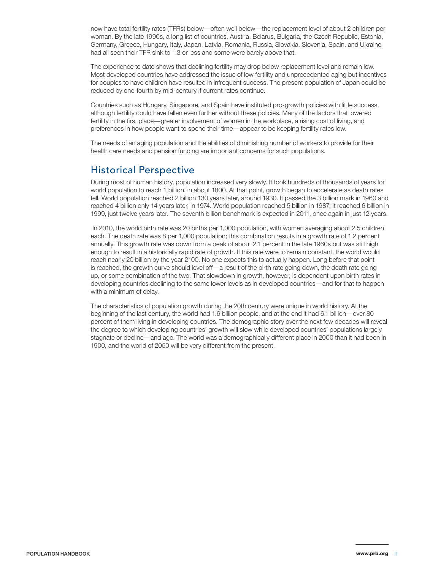now have total fertility rates (TFRs) below—often well below—the replacement level of about 2 children per woman. By the late 1990s, a long list of countries, Austria, Belarus, Bulgaria, the Czech Republic, Estonia, Germany, Greece, Hungary, Italy, Japan, Latvia, Romania, Russia, Slovakia, Slovenia, Spain, and Ukraine had all seen their TFR sink to 1.3 or less and some were barely above that.

The experience to date shows that declining fertility may drop below replacement level and remain low. Most developed countries have addressed the issue of low fertility and unprecedented aging but incentives for couples to have children have resulted in infrequent success. The present population of Japan could be reduced by one-fourth by mid-century if current rates continue.

Countries such as Hungary, Singapore, and Spain have instituted pro-growth policies with little success, although fertility could have fallen even further without these policies. Many of the factors that lowered fertility in the first place—greater involvement of women in the workplace, a rising cost of living, and preferences in how people want to spend their time—appear to be keeping fertility rates low.

The needs of an aging population and the abilities of diminishing number of workers to provide for their health care needs and pension funding are important concerns for such populations.

### Historical Perspective

During most of human history, population increased very slowly. It took hundreds of thousands of years for world population to reach 1 billion, in about 1800. At that point, growth began to accelerate as death rates fell. World population reached 2 billion 130 years later, around 1930. It passed the 3 billion mark in 1960 and reached 4 billion only 14 years later, in 1974. World population reached 5 billion in 1987; it reached 6 billion in 1999, just twelve years later. The seventh billion benchmark is expected in 2011, once again in just 12 years.

 In 2010, the world birth rate was 20 births per 1,000 population, with women averaging about 2.5 children each. The death rate was 8 per 1,000 population; this combination results in a growth rate of 1.2 percent annually. This growth rate was down from a peak of about 2.1 percent in the late 1960s but was still high enough to result in a historically rapid rate of growth. If this rate were to remain constant, the world would reach nearly 20 billion by the year 2100. No one expects this to actually happen. Long before that point is reached, the growth curve should level off—a result of the birth rate going down, the death rate going up, or some combination of the two. That slowdown in growth, however, is dependent upon birth rates in developing countries declining to the same lower levels as in developed countries—and for that to happen with a minimum of delay.

The characteristics of population growth during the 20th century were unique in world history. At the beginning of the last century, the world had 1.6 billion people, and at the end it had 6.1 billion—over 80 percent of them living in developing countries. The demographic story over the next few decades will reveal the degree to which developing countries' growth will slow while developed countries' populations largely stagnate or decline—and age. The world was a demographically different place in 2000 than it had been in 1900, and the world of 2050 will be very different from the present.